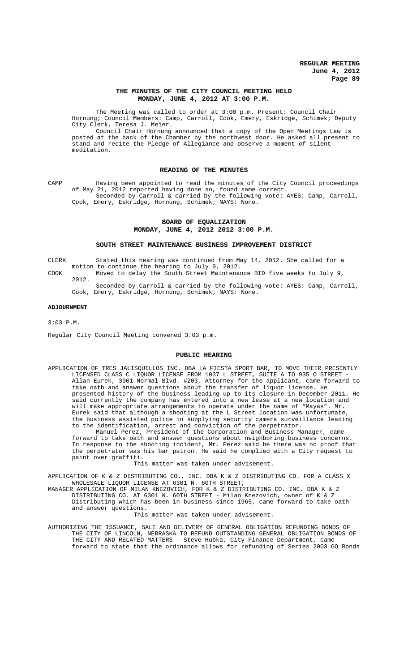## **THE MINUTES OF THE CITY COUNCIL MEETING HELD MONDAY, JUNE 4, 2012 AT 3:00 P.M.**

The Meeting was called to order at 3:00 p.m. Present: Council Chair Hornung; Council Members: Camp, Carroll, Cook, Emery, Eskridge, Schimek; Deputy City Clerk, Teresa J. Meier.

Council Chair Hornung announced that a copy of the Open Meetings Law is posted at the back of the Chamber by the northwest door. He asked all present to stand and recite the Pledge of Allegiance and observe a moment of silent meditation.

### **READING OF THE MINUTES**

CAMP Having been appointed to read the minutes of the City Council proceedings of May 21, 2012 reported having done so, found same correct. Seconded by Carroll & carried by the following vote: AYES: Camp, Carroll, Cook, Emery, Eskridge, Hornung, Schimek; NAYS: None.

# **BOARD OF EQUALIZATION MONDAY, JUNE 4, 2012 2012 3:00 P.M.**

### **SOUTH STREET MAINTENANCE BUSINESS IMPROVEMENT DISTRICT**

CLERK Stated this hearing was continued from May 14, 2012. She called for a motion to continue the hearing to July 9, 2012.

- COOK Moved to delay the South Street Maintenance BID five weeks to July 9, 2012.
	- Seconded by Carroll & carried by the following vote: AYES: Camp, Carroll, Cook, Emery, Eskridge, Hornung, Schimek; NAYS: None.

#### **ADJOURNMENT**

#### 3:03 P.M.

Regular City Council Meeting convened 3:03 p.m.

#### **PUBLIC HEARING**

APPLICATION OF TRES JALISQUILLOS INC. DBA LA FIESTA SPORT BAR, TO MOVE THEIR PRESENTLY LICENSED CLASS C LIQUOR LICENSE FROM 1037 L STREET, SUITE A TO 935 O STREET - Allan Eurek, 3901 Normal Blvd. #203, Attorney for the applicant, came forward to take oath and answer questions about the transfer of liquor license. He presented history of the business leading up to its closure in December 2011. He said currently the company has entered into a new lease at a new location and will make appropriate arrangements to operate under the name of "Mayas". Mr. Eurek said that although a shooting at the L Street location was unfortunate, the business assisted police in supplying security camera surveillance leading to the identification, arrest and conviction of the perpetrator.

Manuel Perez, President of the Corporation and Business Manager, came forward to take oath and answer questions about neighboring business concerns. In response to the shooting incident, Mr. Perez said he there was no proof that the perpetrator was his bar patron. He said he complied with a City request to paint over graffiti.

This matter was taken under advisement.

APPLICATION OF K & Z DISTRIBUTING CO., INC. DBA K & Z DISTRIBUTING CO. FOR A CLASS X WHOLESALE LIQUOR LICENSE AT 6301 N. 60TH STREET;

MANAGER APPLICATION OF MILAN KNEZOVICH, FOR K & Z DISTRIBUTING CO. INC. DBA K & Z DISTRIBUTING CO. AT 6301 N. 60TH STREET - Milan Knezovich, owner of K & Z Distributing which has been in business since 1965, came forward to take oath and answer questions.

This matter was taken under advisement.

AUTHORIZING THE ISSUANCE, SALE AND DELIVERY OF GENERAL OBLIGATION REFUNDING BONDS OF THE CITY OF LINCOLN, NEBRASKA TO REFUND OUTSTANDING GENERAL OBLIGATION BONDS OF THE CITY AND RELATED MATTERS - Steve Hubka, City Finance Department, came forward to state that the ordinance allows for refunding of Series 2003 GO Bonds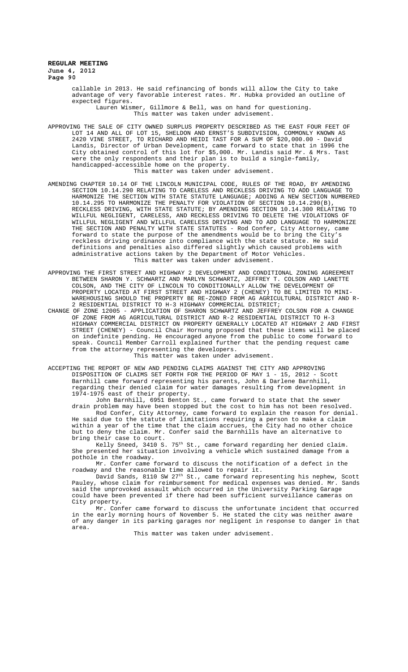> callable in 2013. He said refinancing of bonds will allow the City to take advantage of very favorable interest rates. Mr. Hubka provided an outline of expected figures. Lauren Wismer, Gillmore & Bell, was on hand for questioning.

This matter was taken under advisement.

APPROVING THE SALE OF CITY OWNED SURPLUS PROPERTY DESCRIBED AS THE EAST FOUR FEET OF LOT 14 AND ALL OF LOT 15, SHELDON AND ERNST'S SUBDIVISION, COMMONLY KNOWN AS 2420 VINE STREET, TO RICHARD AND HEIDI TAST FOR A SUM OF \$20,000.00 - David Landis, Director of Urban Development, came forward to state that in 1996 the City obtained control of this lot for \$5,000. Mr. Landis said Mr. & Mrs. Tast were the only respondents and their plan is to build a single-family, handicapped-accessible home on the property. This matter was taken under advisement.

- AMENDING CHAPTER 10.14 OF THE LINCOLN MUNICIPAL CODE, RULES OF THE ROAD, BY AMENDING SECTION 10.14.290 RELATING TO CARELESS AND RECKLESS DRIVING TO ADD LANGUAGE TO HARMONIZE THE SECTION WITH STATE STATUTE LANGUAGE; ADDING A NEW SECTION NUMBERED 10.14.295 TO HARMONIZE THE PENALTY FOR VIOLATION OF SECTION 10.14.290(B), RECKLESS DRIVING, WITH STATE STATUTE; BY AMENDING SECTION 10.14.300 RELATING TO WILLFUL NEGLIGENT, CARELESS, AND RECKLESS DRIVING TO DELETE THE VIOLATIONS OF WILLFUL NEGLIGENT AND WILLFUL CARELESS DRIVING AND TO ADD LANGUAGE TO HARMONIZE THE SECTION AND PENALTY WITH STATE STATUTES - Rod Confer, City Attorney, came forward to state the purpose of the amendments would be to bring the City' reckless driving ordinance into compliance with the state statute. He said definitions and penalties also differed slightly which caused problems with administrative actions taken by the Department of Motor Vehicles. This matter was taken under advisement.
- APPROVING THE FIRST STREET AND HIGHWAY 2 DEVELOPMENT AND CONDITIONAL ZONING AGREEMENT BETWEEN SHARON Y. SCHWARTZ AND MARLYN SCHWARTZ, JEFFREY T. COLSON AND LANETTE COLSON, AND THE CITY OF LINCOLN TO CONDITIONALLY ALLOW THE DEVELOPMENT OF PROPERTY LOCATED AT FIRST STREET AND HIGHWAY 2 (CHENEY) TO BE LIMITED TO MINI-WAREHOUSING SHOULD THE PROPERTY BE RE-ZONED FROM AG AGRICULTURAL DISTRICT AND R-2 RESIDENTIAL DISTRICT TO H-3 HIGHWAY COMMERCIAL DISTRICT;
- CHANGE OF ZONE 12005 APPLICATION OF SHARON SCHWARTZ AND JEFFREY COLSON FOR A CHANGE OF ZONE FROM AG AGRICULTURAL DISTRICT AND R-2 RESIDENTIAL DISTRICT TO H-3 HIGHWAY COMMERCIAL DISTRICT ON PROPERTY GENERALLY LOCATED AT HIGHWAY 2 AND FIRST STREET (CHENEY) - Council Chair Hornung proposed that these items will be placed on indefinite pending. He encouraged anyone from the public to come forward to speak. Council Member Carroll explained further that the pending request came from the attorney representing the developers.

This matter was taken under advisement.

ACCEPTING THE REPORT OF NEW AND PENDING CLAIMS AGAINST THE CITY AND APPROVING DISPOSITION OF CLAIMS SET FORTH FOR THE PERIOD OF MAY 1 - 15, 2012 - Scott Barnhill came forward representing his parents, John & Darlene Barnhill, regarding their denied claim for water damages resulting from development in 1974-1975 east of their property. 1974-1975 east of their property.

John Barnhill, 6951 Benton St., came forward to state that the sewer drain problem may have been stopped but the cost to him has not been resolved. Rod Confer, City Attorney, came forward to explain the reason for denial. He said due to the statute of limitations requiring a person to make a claim within a year of the time that the claim accrues, the City had no other choice but to deny the claim. Mr. Confer said the Barnhills have an alternative to bring their case to court.

Kelly Sneed, 3410 S. 75<sup>th</sup> St., came forward regarding her denied claim. She presented her situation involving a vehicle which sustained damage from a pothole in the roadway.

Mr. Confer came forward to discuss the notification of a defect in the roadway and the reasonable time allowed to repair it.

David Sands, 8110 SW 27<sup>th</sup> St., came forward representing his nephew, Scott Pauley, whose claim for reimbursement for medical expenses was denied. Mr. Sands said the unprovoked assault which occurred in the University Parking Garage could have been prevented if there had been sufficient surveillance cameras on City property.

Mr. Confer came forward to discuss the unfortunate incident that occurred in the early morning hours of November 5. He stated the city was neither aware of any danger in its parking garages nor negligent in response to danger in that area.

This matter was taken under advisement.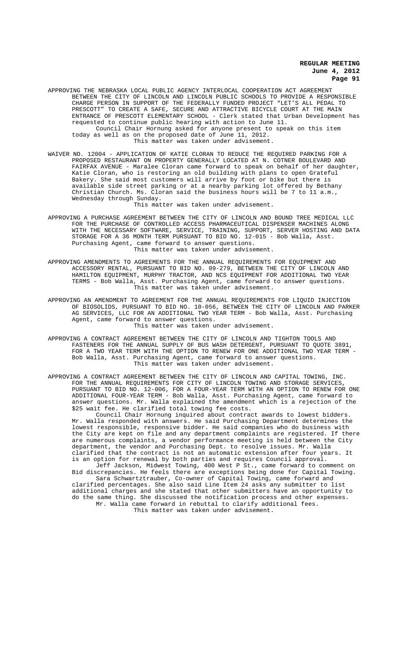APPROVING THE NEBRASKA LOCAL PUBLIC AGENCY INTERLOCAL COOPERATION ACT AGREEMENT BETWEEN THE CITY OF LINCOLN AND LINCOLN PUBLIC SCHOOLS TO PROVIDE A RESPONSIBLE CHARGE PERSON IN SUPPORT OF THE FEDERALLY FUNDED PROJECT "LET'S ALL PEDAL TO PRESCOTT" TO CREATE A SAFE, SECURE AND ATTRACTIVE BICYCLE COURT AT THE MAIN ENTRANCE OF PRESCOTT ELEMENTARY SCHOOL - Clerk stated that Urban Development has requested to continue public hearing with action to June 11. Council Chair Hornung asked for anyone present to speak on this item today as well as on the proposed date of June 11, 2012.

This matter was taken under advisement.

WAIVER NO. 12004 - APPLICATION OF KATIE CLORAN TO REDUCE THE REQUIRED PARKING FOR A PROPOSED RESTAURANT ON PROPERTY GENERALLY LOCATED AT N. COTNER BOULEVARD AND FAIRFAX AVENUE - Maralee Cloran came forward to speak on behalf of her daughter, Katie Cloran, who is restoring an old building with plans to open Grateful Bakery. She said most customers will arrive by foot or bike but there is available side street parking or at a nearby parking lot offered by Bethany<br>Christian Church. Ms. Cloran said the business hours will be 7 to 11 a.m., Cloran said the business hours will be 7 to 11 a.m., Wednesday through Sunday.

This matter was taken under advisement.

APPROVING A PURCHASE AGREEMENT BETWEEN THE CITY OF LINCOLN AND BOUND TREE MEDICAL LLC FOR THE PURCHASE OF CONTROLLED ACCESS PHARMACEUTICAL DISPENSER MACHINES ALONG WITH THE NECESSARY SOFTWARE, SERVICE, TRAINING, SUPPORT, SERVER HOSTING AND DATA STORAGE FOR A 36 MONTH TERM PURSUANT TO BID NO. 12-015 - Bob Walla, Asst. Purchasing Agent, came forward to answer questions. This matter was taken under advisement.

APPROVING AMENDMENTS TO AGREEMENTS FOR THE ANNUAL REQUIREMENTS FOR EQUIPMENT AND ACCESSORY RENTAL, PURSUANT TO BID NO. 09-279, BETWEEN THE CITY OF LINCOLN AND HAMILTON EQUIPMENT, MURPHY TRACTOR, AND NCS EQUIPMENT FOR ADDITIONAL TWO YEAR TERMS - Bob Walla, Asst. Purchasing Agent, came forward to answer questions. This matter was taken under advisement.

APPROVING AN AMENDMENT TO AGREEMENT FOR THE ANNUAL REQUIREMENTS FOR LIQUID INJECTION OF BIOSOLIDS, PURSUANT TO BID NO. 10-056, BETWEEN THE CITY OF LINCOLN AND PARKER AG SERVICES, LLC FOR AN ADDITIONAL TWO YEAR TERM - Bob Walla, Asst. Purchasing Agent, came forward to answer questions. This matter was taken under advisement.

- APPROVING A CONTRACT AGREEMENT BETWEEN THE CITY OF LINCOLN AND TIGHTON TOOLS AND FASTENERS FOR THE ANNUAL SUPPLY OF BUS WASH DETERGENT, PURSUANT TO QUOTE 3891, FOR A TWO YEAR TERM WITH THE OPTION TO RENEW FOR ONE ADDITIONAL TWO YEAR TERM - Bob Walla, Asst. Purchasing Agent, came forward to answer questions. This matter was taken under advisement.
- APPROVING A CONTRACT AGREEMENT BETWEEN THE CITY OF LINCOLN AND CAPITAL TOWING, INC. FOR THE ANNUAL REQUIREMENTS FOR CITY OF LINCOLN TOWING AND STORAGE SERVICES, PURSUANT TO BID NO. 12-006, FOR A FOUR-YEAR TERM WITH AN OPTION TO RENEW FOR ONE ADDITIONAL FOUR-YEAR TERM - Bob Walla, Asst. Purchasing Agent, came forward to answer questions. Mr. Walla explained the amendment which is a rejection of the \$25 wait fee. He clarified total towing fee costs.

Council Chair Hornung inquired about contract awards to lowest bidders. Mr. Walla responded with answers. He said Purchasing Department determines the lowest responsible, responsive bidder. He said companies who do business with the City are kept on file and any department complaints are registered. If there are numerous complaints, a vendor performance meeting is held between the City department, the vendor and Purchasing Dept. to resolve issues. Mr. Walla clarified that the contract is not an automatic extension after four years. It is an option for renewal by both parties and requires Council approval.

Jeff Jackson, Midwest Towing, 400 West P St., came forward to comment on Bid discrepancies. He feels there are exceptions being done for Capital Towing. Sara Schwartztrauber, Co-owner of Capital Towing, came forward and clarified percentages. She also said Line Item 24 asks any submitter to list additional charges and she stated that other submitters have an opportunity to do the same thing. She discussed the notification process and other expenses. Mr. Walla came forward in rebuttal to clarify additional fees.

This matter was taken under advisement.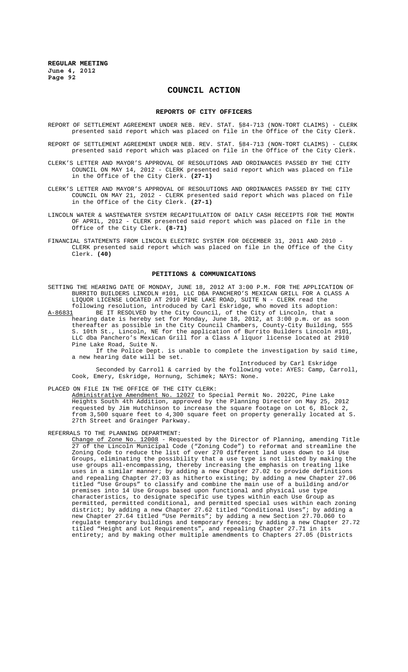# **COUNCIL ACTION**

#### **REPORTS OF CITY OFFICERS**

- REPORT OF SETTLEMENT AGREEMENT UNDER NEB. REV. STAT. §84-713 (NON-TORT CLAIMS) CLERK presented said report which was placed on file in the Office of the City Clerk.
- REPORT OF SETTLEMENT AGREEMENT UNDER NEB. REV. STAT. §84-713 (NON-TORT CLAIMS) CLERK presented said report which was placed on file in the Office of the City Clerk.
- CLERK'S LETTER AND MAYOR'S APPROVAL OF RESOLUTIONS AND ORDINANCES PASSED BY THE CITY COUNCIL ON MAY 14, 2012 - CLERK presented said report which was placed on file in the Office of the City Clerk. **(27-1)**
- CLERK'S LETTER AND MAYOR'S APPROVAL OF RESOLUTIONS AND ORDINANCES PASSED BY THE CITY COUNCIL ON MAY 21, 2012 - CLERK presented said report which was placed on file in the Office of the City Clerk. **(27-1)**
- LINCOLN WATER & WASTEWATER SYSTEM RECAPITULATION OF DAILY CASH RECEIPTS FOR THE MONTH OF APRIL, 2012 - CLERK presented said report which was placed on file in the Office of the City Clerk. **(8-71)**
- FINANCIAL STATEMENTS FROM LINCOLN ELECTRIC SYSTEM FOR DECEMBER 31, 2011 AND 2010 CLERK presented said report which was placed on file in the Office of the City Clerk. **(40)**

#### **PETITIONS & COMMUNICATIONS**

SETTING THE HEARING DATE OF MONDAY, JUNE 18, 2012 AT 3:00 P.M. FOR THE APPLICATION OF BURRITO BUILDERS LINCOLN #101, LLC DBA PANCHERO'S MEXICAN GRILL FOR A CLASS A LIQUOR LICENSE LOCATED AT 2910 PINE LAKE ROAD, SUITE N - CLERK read the

following resolution, introduced by Carl Eskridge, who moved its adoption:<br>A-86831 BE IT RESOLVED by the City Council, of the City of Lincoln, that a BE IT RESOLVED by the City Council, of the City of Lincoln, that a hearing date is hereby set for Monday, June 18, 2012, at 3:00 p.m. or as soon thereafter as possible in the City Council Chambers, County-City Building, 555 S. 10th St., Lincoln, NE for the application of Burrito Builders Lincoln #101, LLC dba Panchero's Mexican Grill for a Class A liquor license located at 2910 Pine Lake Road, Suite N.

If the Police Dept. is unable to complete the investigation by said time, a new hearing date will be set.

Introduced by Carl Eskridge Seconded by Carroll & carried by the following vote: AYES: Camp, Carroll, Cook, Emery, Eskridge, Hornung, Schimek; NAYS: None.

PLACED ON FILE IN THE OFFICE OF THE CITY CLERK:

Administrative Amendment No. 12027 to Special Permit No. 2022C, Pine Lake Heights South 4th Addition, approved by the Planning Director on May 25, 2012 requested by Jim Hutchinson to increase the square footage on Lot 6, Block 2, from 3,500 square feet to 4,300 square feet on property generally located at S. 27th Street and Grainger Parkway.

REFERRALS TO THE PLANNING DEPARTMENT:<br>Change of Zone No. 12008 - Requested by the Director of Planning, amending Title Change of Zone No. 12008 - Requested by the Director of Planning, amending Title 27 of the Lincoln Municipal Code ("Zoning Code") to reformat and streamline the Zoning Code to reduce the list of over 270 different land uses down to 14 Use Groups, eliminating the possibility that a use type is not listed by making the use groups all-encompassing, thereby increasing the emphasis on treating like uses in a similar manner; by adding a new Chapter 27.02 to provide definitions and repealing Chapter 27.03 as hitherto existing; by adding a new Chapter 27.06 titled "Use Groups" to classify and combine the main use of a building and/or premises into 14 Use Groups based upon functional and physical use type characteristics, to designate specific use types within each Use Group as permitted, permitted conditional, and permitted special uses within each zoning district; by adding a new Chapter 27.62 titled "Conditional Uses"; by adding a new Chapter 27.64 titled "Use Permits"; by adding a new Section 27.70.060 to regulate temporary buildings and temporary fences; by adding a new Chapter 27.72 titled "Height and Lot Requirements", and repealing Chapter 27.71 in its entirety; and by making other multiple amendments to Chapters 27.05 (Districts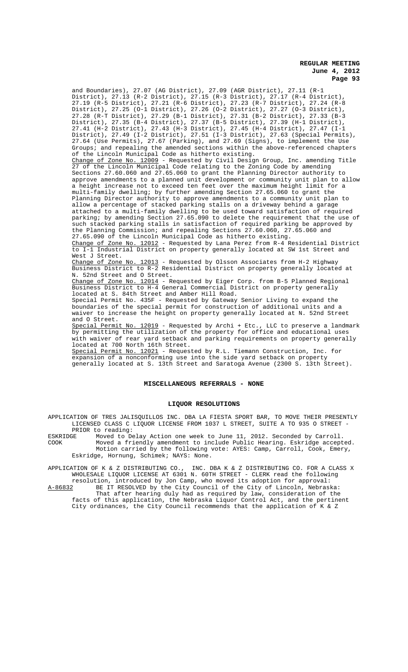and Boundaries), 27.07 (AG District), 27.09 (AGR District), 27.11 (R-1 District), 27.13 (R-2 District), 27.15 (R-3 District), 27.17 (R-4 District), 27.19 (R-5 District), 27.21 (R-6 District), 27.23 (R-7 District), 27.24 (R-8 District), 27.25 (O-1 District), 27.26 (O-2 District), 27.27 (O-3 District), 27.28 (R-T District), 27.29 (B-1 District), 27.31 (B-2 District), 27.33 (B-3 District), 27.35 (B-4 District), 27.37 (B-5 District), 27.39 (H-1 District), 27.41 (H-2 District), 27.43 (H-3 District), 27.45 (H-4 District), 27.47 (I-1 District), 27.49 (I-2 District), 27.51 (I-3 District), 27.63 (Special Permits), 27.64 (Use Permits), 27.67 (Parking), and 27.69 (Signs), to implement the Use Groups; and repealing the amended sections within the above-referenced chapters of the Lincoln Municipal Code as hitherto existing.<br>Change of Zone No. 12009 - Requested by Civil Design 12009 - Requested by Civil Design Group, Inc. amending Title 27 of the Lincoln Municipal Code relating to the Zoning Code by amending Sections 27.60.060 and 27.65.060 to grant the Planning Director authority to approve amendments to a planned unit development or community unit plan to allow a height increase not to exceed ten feet over the maximum height limit for a multi-family dwelling; by further amending Section 27.65.060 to grant the Planning Director authority to approve amendments to a community unit plan to allow a percentage of stacked parking stalls on a driveway behind a garage attached to a multi-family dwelling to be used toward satisfaction of required parking; by amending Section 27.65.090 to delete the requirement that the use of such stacked parking stalls in satisfaction of required parking be approved by the Planning Commission; and repealing Sections 27.60.060, 27.65.060 and 27.65.090 of the Lincoln Municipal Code as hitherto existing. Change of Zone No. 12012 - Requested by Lana Perez from R-4 Residential District to I-1 Industrial District on property generally located at SW 1st Street and West J Street.<br>Change of Zone No. 12013 - Requested by Olsson Associates from H-2 Highway Business District to R-2 Residential District on property generally located at N. 52nd Street and O Street. Change of Zone No. 12014 - Requested by Eiger Corp. from B-5 Planned Regional Business District to H-4 General Commercial District on property generally located at S. 84th Street and Amber Hill Road. Special Permit No. 435F - Requested by Gateway Senior Living to expand the boundaries of the special permit for construction of additional units and a waiver to increase the height on property generally located at N. 52nd Street

and O Street. Special Permit No. 12019 - Requested by Archi + Etc., LLC to preserve a landmark by permitting the utilization of the property for office and educational uses with waiver of rear yard setback and parking requirements on property generally located at 700 North 16th Street.

Special Permit No. 12021 - Requested by R.L. Tiemann Construction, Inc. for expansion of a nonconforming use into the side yard setback on property generally located at S. 13th Street and Saratoga Avenue (2300 S. 13th Street).

## **MISCELLANEOUS REFERRALS - NONE**

#### **LIQUOR RESOLUTIONS**

APPLICATION OF TRES JALISQUILLOS INC. DBA LA FIESTA SPORT BAR, TO MOVE THEIR PRESENTLY LICENSED CLASS C LIQUOR LICENSE FROM 1037 L STREET, SUITE A TO 935 O STREET - PRIOR to reading:<br>ESKRIDGE Moved to De

ESKRIDGE Moved to Delay Action one week to June 11, 2012. Seconded by Carroll.<br>COOK Moved a friendly amendment to include Public Hearing Eskridge accept Moved a friendly amendment to include Public Hearing. Eskridge accepted. Motion carried by the following vote: AYES: Camp, Carroll, Cook, Emery, Eskridge, Hornung, Schimek; NAYS: None.

APPLICATION OF K & Z DISTRIBUTING CO., INC. DBA K & Z DISTRIBUTING CO. FOR A CLASS X WHOLESALE LIQUOR LICENSE AT 6301 N. 60TH STREET - CLERK read the following

resolution, introduced by Jon Camp, who moved its adoption for approval:<br>A-86832 BE IT RESOLVED by the City Council of the City of Lincoln, Nebrasl BE IT RESOLVED by the City Council of the City of Lincoln, Nebraska: That after hearing duly had as required by law, consideration of the facts of this application, the Nebraska Liquor Control Act, and the pertinent City ordinances, the City Council recommends that the application of K & Z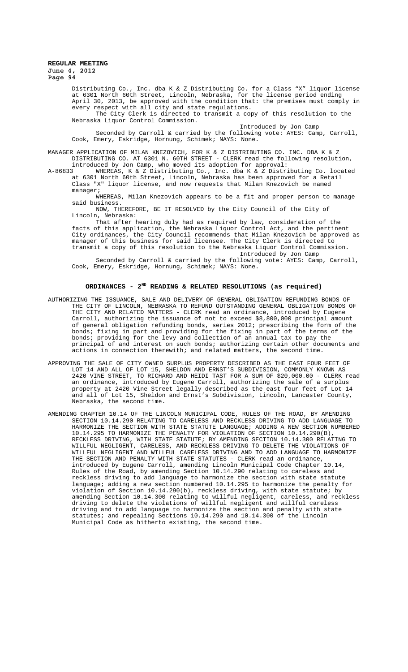Distributing Co., Inc. dba K & Z Distributing Co. for a Class "X" liquor license at 6301 North 60th Street, Lincoln, Nebraska, for the license period ending April 30, 2013, be approved with the condition that: the premises must comply in every respect with all city and state regulations. The City Clerk is directed to transmit a copy of this resolution to the

Nebraska Liquor Control Commission.

Introduced by Jon Camp

Seconded by Carroll & carried by the following vote: AYES: Camp, Carroll, Cook, Emery, Eskridge, Hornung, Schimek; NAYS: None.

MANAGER APPLICATION OF MILAN KNEZOVICH, FOR K & Z DISTRIBUTING CO. INC. DBA K & Z DISTRIBUTING CO. AT 6301 N. 60TH STREET - CLERK read the following resolution, introduced by Jon Camp, who moved its adoption for approval:

A-86833 MHEREAS, K & Z Distributing Co., Inc. dba K & Z Distributing Co. located at 6301 North 60th Street, Lincoln, Nebraska has been approved for a Retail Class "X" liquor license, and now requests that Milan Knezovich be named manager;

WHEREAS, Milan Knezovich appears to be a fit and proper person to manage said business.

NOW, THEREFORE, BE IT RESOLVED by the City Council of the City of Lincoln, Nebraska:

That after hearing duly had as required by law, consideration of the facts of this application, the Nebraska Liquor Control Act, and the pertinent City ordinances, the City Council recommends that Milan Knezovich be approved as manager of this business for said licensee. The City Clerk is directed to transmit a copy of this resolution to the Nebraska Liquor Control Commission. Introduced by Jon Camp

Seconded by Carroll & carried by the following vote: AYES: Camp, Carroll, Cook, Emery, Eskridge, Hornung, Schimek; NAYS: None.

## ORDINANCES - 2<sup>ND</sup> READING & RELATED RESOLUTIONS (as required)

- AUTHORIZING THE ISSUANCE, SALE AND DELIVERY OF GENERAL OBLIGATION REFUNDING BONDS OF THE CITY OF LINCOLN, NEBRASKA TO REFUND OUTSTANDING GENERAL OBLIGATION BONDS OF THE CITY AND RELATED MATTERS - CLERK read an ordinance, introduced by Eugene Carroll, authorizing the issuance of not to exceed \$8,800,000 principal amount of general obligation refunding bonds, series 2012; prescribing the form of the bonds; fixing in part and providing for the fixing in part of the terms of the bonds; providing for the levy and collection of an annual tax to pay the principal of and interest on such bonds; authorizing certain other documents and actions in connection therewith; and related matters, the second time.
- APPROVING THE SALE OF CITY OWNED SURPLUS PROPERTY DESCRIBED AS THE EAST FOUR FEET OF LOT 14 AND ALL OF LOT 15, SHELDON AND ERNST'S SUBDIVISION, COMMONLY KNOWN AS 2420 VINE STREET, TO RICHARD AND HEIDI TAST FOR A SUM OF \$20,000.00 - CLERK read an ordinance, introduced by Eugene Carroll, authorizing the sale of a surplus property at 2420 Vine Street legally described as the east four feet of Lot 14 and all of Lot 15, Sheldon and Ernst's Subdivision, Lincoln, Lancaster County, Nebraska, the second time.
- AMENDING CHAPTER 10.14 OF THE LINCOLN MUNICIPAL CODE, RULES OF THE ROAD, BY AMENDING SECTION 10.14.290 RELATING TO CARELESS AND RECKLESS DRIVING TO ADD LANGUAGE TO HARMONIZE THE SECTION WITH STATE STATUTE LANGUAGE; ADDING A NEW SECTION NUMBERED 10.14.295 TO HARMONIZE THE PENALTY FOR VIOLATION OF SECTION 10.14.290(B), RECKLESS DRIVING, WITH STATE STATUTE; BY AMENDING SECTION 10.14.300 RELATING TO WILLFUL NEGLIGENT, CARELESS, AND RECKLESS DRIVING TO DELETE THE VIOLATIONS OF WILLFUL NEGLIGENT AND WILLFUL CARELESS DRIVING AND TO ADD LANGUAGE TO HARMONIZE THE SECTION AND PENALTY WITH STATE STATUTES - CLERK read an ordinance, introduced by Eugene Carroll, amending Lincoln Municipal Code Chapter 10.14, Rules of the Road, by amending Section 10.14.290 relating to careless and reckless driving to add language to harmonize the section with state statute language; adding a new section numbered 10.14.295 to harmonize the penalty for violation of Section 10.14.290(b), reckless driving, with state statute; by amending Section 10.14.300 relating to willful negligent, careless, and reckless driving to delete the violations of willful negligent and willful careless driving and to add language to harmonize the section and penalty with state statutes; and repealing Sections 10.14.290 and 10.14.300 of the Lincoln Municipal Code as hitherto existing, the second time.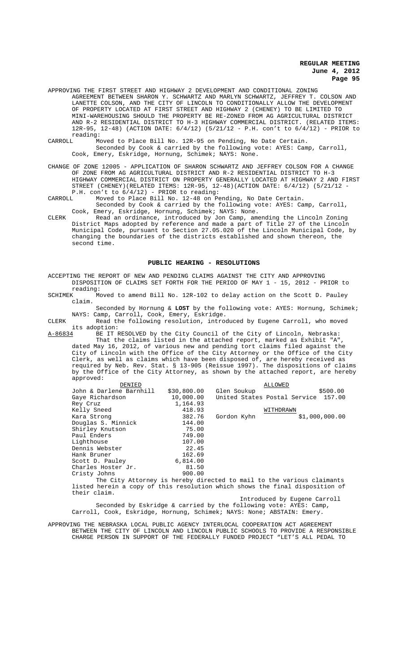- APPROVING THE FIRST STREET AND HIGHWAY 2 DEVELOPMENT AND CONDITIONAL ZONING AGREEMENT BETWEEN SHARON Y. SCHWARTZ AND MARLYN SCHWARTZ, JEFFREY T. COLSON AND LANETTE COLSON, AND THE CITY OF LINCOLN TO CONDITIONALLY ALLOW THE DEVELOPMENT OF PROPERTY LOCATED AT FIRST STREET AND HIGHWAY 2 (CHENEY) TO BE LIMITED TO MINI-WAREHOUSING SHOULD THE PROPERTY BE RE-ZONED FROM AG AGRICULTURAL DISTRICT AND R-2 RESIDENTIAL DISTRICT TO H-3 HIGHWAY COMMERCIAL DISTRICT. (RELATED ITEMS: 12R-95, 12-48) (ACTION DATE: 6/4/12) (5/21/12 - P.H. con't to 6/4/12) - PRIOR to reading:<br>CARROLL Mo
- Moved to Place Bill No. 12R-95 on Pending, No Date Certain. Seconded by Cook & carried by the following vote: AYES: Camp, Carroll, Cook, Emery, Eskridge, Hornung, Schimek; NAYS: None.
- CHANGE OF ZONE 12005 APPLICATION OF SHARON SCHWARTZ AND JEFFREY COLSON FOR A CHANGE OF ZONE FROM AG AGRICULTURAL DISTRICT AND R-2 RESIDENTIAL DISTRICT TO H-3 HIGHWAY COMMERCIAL DISTRICT ON PROPERTY GENERALLY LOCATED AT HIGHWAY 2 AND FIRST STREET (CHENEY)(RELATED ITEMS: 12R-95, 12-48)(ACTION DATE: 6/4/12) (5/21/12 - P.H.  $\text{con}'\text{t}$  to  $6/4/12$ ) - PRIOR to reading:<br>CARROLL Moved to Place Bill No. 12-48 on Pe
- Moved to Place Bill No. 12-48 on Pending, No Date Certain. Seconded by Cook & carried by the following vote: AYES: Camp, Carroll, Cook, Emery, Eskridge, Hornung, Schimek; NAYS: None.
- CLERK Read an ordinance, introduced by Jon Camp, amending the Lincoln Zoning District Maps adopted by reference and made a part of Title 27 of the Lincoln Municipal Code, pursuant to Section 27.05.020 of the Lincoln Municipal Code, by changing the boundaries of the districts established and shown thereon, the second time.

### **PUBLIC HEARING - RESOLUTIONS**

- ACCEPTING THE REPORT OF NEW AND PENDING CLAIMS AGAINST THE CITY AND APPROVING DISPOSITION OF CLAIMS SET FORTH FOR THE PERIOD OF MAY 1 - 15, 2012 - PRIOR to reading:<br>SCHIMEK M
- Moved to amend Bill No. 12R-102 to delay action on the Scott D. Pauley claim.

Seconded by Hornung & **LOST** by the following vote: AYES: Hornung, Schimek; NAYS: Camp, Carroll, Cook, Emery, Eskridge.

CLERK Read the following resolution, introduced by Eugene Carroll, who moved its adoption:<br>A-86834 BE IT I

A-86834 BE IT RESOLVED by the City Council of the City of Lincoln, Nebraska: That the claims listed in the attached report, marked as Exhibit "A", dated May 16, 2012, of various new and pending tort claims filed against the City of Lincoln with the Office of the City Attorney or the Office of the City Clerk, as well as claims which have been disposed of, are hereby received as required by Neb. Rev. Stat. § 13-905 (Reissue 1997). The dispositions of claims by the Office of the City Attorney, as shown by the attached report, are hereby approved:

| DENIED                  |             | ALLOWED                                                                           |
|-------------------------|-------------|-----------------------------------------------------------------------------------|
| John & Darlene Barnhill | \$30,800.00 | \$500.00<br>Glen Soukup                                                           |
| Gaye Richardson         | 10,000.00   | United States Postal Service 157.00                                               |
| Rey Cruz                | 1,164.93    |                                                                                   |
| Kelly Sneed             | 418.93      | WITHDRAWN                                                                         |
| Kara Strong             | 382.76      | \$1,000,000.00<br>Gordon Kyhn                                                     |
| Douglas S. Minnick      | 144.00      |                                                                                   |
| Shirley Knutson         | 75.00       |                                                                                   |
| Paul Enders             | 749.00      |                                                                                   |
| Lighthouse              | 107.00      |                                                                                   |
| Dennis Webster          | 22.45       |                                                                                   |
| Hank Bruner             | 162.69      |                                                                                   |
| Scott D. Pauley         | 6,814.00    |                                                                                   |
| Charles Hoster Jr.      | 81.50       |                                                                                   |
| Cristy Johns            | 900.00      |                                                                                   |
|                         |             | mba African La consecuta transfera dina masi na mait sa anta constanza atalmana n |

The City Attorney is hereby directed to mail to the various claimants listed herein a copy of this resolution which shows the final disposition of their claim.

Introduced by Eugene Carroll Seconded by Eskridge & carried by the following vote: AYES: Camp, Carroll, Cook, Eskridge, Hornung, Schimek; NAYS: None; ABSTAIN: Emery.

APPROVING THE NEBRASKA LOCAL PUBLIC AGENCY INTERLOCAL COOPERATION ACT AGREEMENT BETWEEN THE CITY OF LINCOLN AND LINCOLN PUBLIC SCHOOLS TO PROVIDE A RESPONSIBLE CHARGE PERSON IN SUPPORT OF THE FEDERALLY FUNDED PROJECT "LET'S ALL PEDAL TO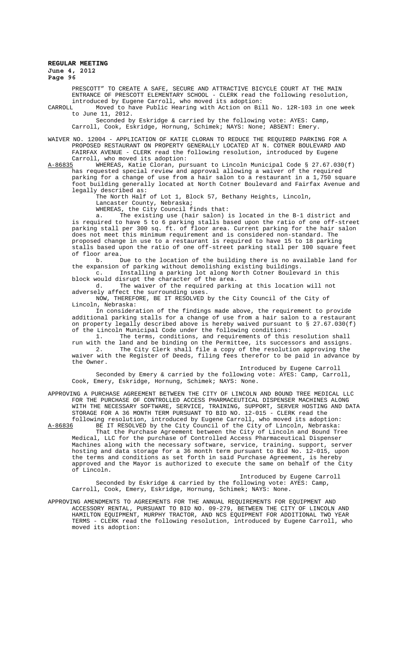# **REGULAR MEETING June 4, 2012**

**Page 96**

PRESCOTT" TO CREATE A SAFE, SECURE AND ATTRACTIVE BICYCLE COURT AT THE MAIN ENTRANCE OF PRESCOTT ELEMENTARY SCHOOL - CLERK read the following resolution, introduced by Eugene Carroll, who moved its adoption:

CARROLL Moved to have Public Hearing with Action on Bill No. 12R-103 in one week to June 11, 2012.

Seconded by Eskridge & carried by the following vote: AYES: Camp, Carroll, Cook, Eskridge, Hornung, Schimek; NAYS: None; ABSENT: Emery.

WAIVER NO. 12004 - APPLICATION OF KATIE CLORAN TO REDUCE THE REQUIRED PARKING FOR A PROPOSED RESTAURANT ON PROPERTY GENERALLY LOCATED AT N. COTNER BOULEVARD AND FAIRFAX AVENUE - CLERK read the following resolution, introduced by Eugene

Carroll, who moved its adoption:<br>A-86835 WHEREAS, Katie Cloran, pur WHEREAS, Katie Cloran, pursuant to Lincoln Municipal Code § 27.67.030(f) has requested special review and approval allowing a waiver of the required parking for a change of use from a hair salon to a restaurant in a 1,750 square foot building generally located at North Cotner Boulevard and Fairfax Avenue and legally described as:

The North Half of Lot 1, Block 57, Bethany Heights, Lincoln,

Lancaster County, Nebraska;

WHEREAS, the City Council finds that:

a. The existing use (hair salon) is located in the B-1 district and is required to have 5 to 6 parking stalls based upon the ratio of one off-street parking stall per 300 sq. ft. of floor area. Current parking for the hair salon does not meet this minimum requirement and is considered non-standard. The proposed change in use to a restaurant is required to have 15 to 18 parking stalls based upon the ratio of one off-street parking stall per 100 square feet of floor area.

..<br>Due to the location of the building there is no available land for the expansion of parking without demolishing existing buildings.

c. Installing a parking lot along North Cotner Boulevard in this block would disrupt the character of the area.

d. The waiver of the required parking at this location will not adversely affect the surrounding uses.

NOW, THEREFORE, BE IT RESOLVED by the City Council of the City of Lincoln, Nebraska:

In consideration of the findings made above, the requirement to provide additional parking stalls for a change of use from a hair salon to a restaurant on property legally described above is hereby waived pursuant to § 27.67.030(f) of the Lincoln Municipal Code under the following conditions:

1. The terms, conditions, and requirements of this resolution shall run with the land and be binding on the Permittee, its successors and assigns. 2. The City Clerk shall file a copy of the resolution approving the waiver with the Register of Deeds, filing fees therefor to be paid in advance by the Owner.

Introduced by Eugene Carroll

Seconded by Emery & carried by the following vote: AYES: Camp, Carroll, Cook, Emery, Eskridge, Hornung, Schimek; NAYS: None.

APPROVING A PURCHASE AGREEMENT BETWEEN THE CITY OF LINCOLN AND BOUND TREE MEDICAL LLC FOR THE PURCHASE OF CONTROLLED ACCESS PHARMACEUTICAL DISPENSER MACHINES ALONG WITH THE NECESSARY SOFTWARE, SERVICE, TRAINING, SUPPORT, SERVER HOSTING AND DATA STORAGE FOR A 36 MONTH TERM PURSUANT TO BID NO. 12-015 - CLERK read the following resolution, introduced by Eugene Carroll, who moved its adoption:<br>A-86836 BE IT RESOLVED by the City Council of the City of Lincoln, Nebraska:

BE IT RESOLVED by the City Council of the City of Lincoln, Nebraska: That the Purchase Agreement between the City of Lincoln and Bound Tree Medical, LLC for the purchase of Controlled Access Pharmaceutical Dispenser Machines along with the necessary software, service, training. support, server hosting and data storage for a 36 month term pursuant to Bid No. 12-015, upon the terms and conditions as set forth in said Purchase Agreement, is hereby approved and the Mayor is authorized to execute the same on behalf of the City of Lincoln.

Introduced by Eugene Carroll Seconded by Eskridge & carried by the following vote: AYES: Camp, Carroll, Cook, Emery, Eskridge, Hornung, Schimek; NAYS: None.

APPROVING AMENDMENTS TO AGREEMENTS FOR THE ANNUAL REQUIREMENTS FOR EQUIPMENT AND ACCESSORY RENTAL, PURSUANT TO BID NO. 09-279, BETWEEN THE CITY OF LINCOLN AND HAMILTON EQUIPMENT, MURPHY TRACTOR, AND NCS EQUIPMENT FOR ADDITIONAL TWO YEAR TERMS - CLERK read the following resolution, introduced by Eugene Carroll, who moved its adoption: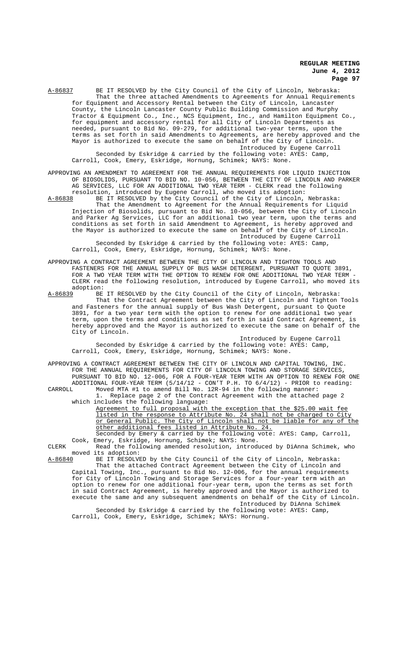A-86837 BE IT RESOLVED by the City Council of the City of Lincoln, Nebraska: That the three attached Amendments to Agreements for Annual Requirements for Equipment and Accessory Rental between the City of Lincoln, Lancaster County, the Lincoln Lancaster County Public Building Commission and Murphy Tractor & Equipment Co., Inc., NCS Equipment, Inc., and Hamilton Equipment Co., for equipment and accessory rental for all City of Lincoln Departments as needed, pursuant to Bid No. 09-279, for additional two-year terms, upon the terms as set forth in said Amendments to Agreements, are hereby approved and the Mayor is authorized to execute the same on behalf of the City of Lincoln. Introduced by Eugene Carroll Seconded by Eskridge & carried by the following vote: AYES: Camp,

Carroll, Cook, Emery, Eskridge, Hornung, Schimek; NAYS: None.

APPROVING AN AMENDMENT TO AGREEMENT FOR THE ANNUAL REQUIREMENTS FOR LIQUID INJECTION OF BIOSOLIDS, PURSUANT TO BID NO. 10-056, BETWEEN THE CITY OF LINCOLN AND PARKER AG SERVICES, LLC FOR AN ADDITIONAL TWO YEAR TERM - CLERK read the following<br>resolution, introduced by Eugene Carroll, who moved its adoption: resolution, introduced by Eugene Carroll, who moved its adoption:

A-86838 BE IT RESOLVED by the City Council of the City of Lincoln, Nebraska: That the Amendment to Agreement for the Annual Requirements for Liquid Injection of Biosolids, pursuant to Bid No. 10-056, between the City of Lincoln and Parker Ag Services, LLC for an additional two year term, upon the terms and conditions as set forth in said Amendment to Agreement, is hereby approved and the Mayor is authorized to execute the same on behalf of the City of Lincoln. Introduced by Eugene Carroll

Seconded by Eskridge & carried by the following vote: AYES: Camp, Carroll, Cook, Emery, Eskridge, Hornung, Schimek; NAYS: None.

APPROVING A CONTRACT AGREEMENT BETWEEN THE CITY OF LINCOLN AND TIGHTON TOOLS AND FASTENERS FOR THE ANNUAL SUPPLY OF BUS WASH DETERGENT, PURSUANT TO QUOTE 3891, FOR A TWO YEAR TERM WITH THE OPTION TO RENEW FOR ONE ADDITIONAL TWO YEAR TERM CLERK read the following resolution, introduced by Eugene Carroll, who moved its

adoption:<br>A-86839 BE BE IT RESOLVED by the City Council of the City of Lincoln, Nebraska: That the Contract Agreement between the City of Lincoln and Tighton Tools and Fasteners for the annual supply of Bus Wash Detergent, pursuant to Quote 3891, for a two year term with the option to renew for one additional two year term, upon the terms and conditions as set forth in said Contract Agreement, is hereby approved and the Mayor is authorized to execute the same on behalf of the City of Lincoln.

Introduced by Eugene Carroll Seconded by Eskridge & carried by the following vote: AYES: Camp, Carroll, Cook, Emery, Eskridge, Hornung, Schimek; NAYS: None.

APPROVING A CONTRACT AGREEMENT BETWEEN THE CITY OF LINCOLN AND CAPITAL TOWING, INC. FOR THE ANNUAL REQUIREMENTS FOR CITY OF LINCOLN TOWING AND STORAGE SERVICES, PURSUANT TO BID NO. 12-006, FOR A FOUR-YEAR TERM WITH AN OPTION TO RENEW FOR ONE ADDITIONAL FOUR-YEAR TERM (5/14/12 - CON'T P.H. TO 6/4/12) - PRIOR to reading:

CARROLL Moved MTA #1 to amend Bill No. 12R-94 in the following manner: 1. Replace page 2 of the Contract Agreement with the attached page 2 which includes the following language:

Agreement to full proposal with the exception that the \$25.00 wait fee listed in the response to Attribute No. 24 shall not be charged to City or General Public. The City of Lincoln shall not be liable for any of the other additional fees listed in Attribute No. 24.

Seconded by Emery & carried by the following vote: AYES: Camp, Carroll, Cook, Emery, Eskridge, Hornung, Schimek; NAYS: None.

CLERK Read the following amended resolution, introduced by DiAnna Schimek, who moved its adoption:<br>A-86840 BE IT RESOLV

A-86840 BE IT RESOLVED by the City Council of the City of Lincoln, Nebraska: That the attached Contract Agreement between the City of Lincoln and Capital Towing, Inc., pursuant to Bid No. 12-006, for the annual requirements for City of Lincoln Towing and Storage Services for a four-year term with an option to renew for one additional four-year term, upon the terms as set forth in said Contract Agreement, is hereby approved and the Mayor is authorized to execute the same and any subsequent amendments on behalf of the City of Lincoln. Introduced by DiAnna Schimek

Seconded by Eskridge & carried by the following vote: AYES: Camp, Carroll, Cook, Emery, Eskridge, Schimek; NAYS: Hornung.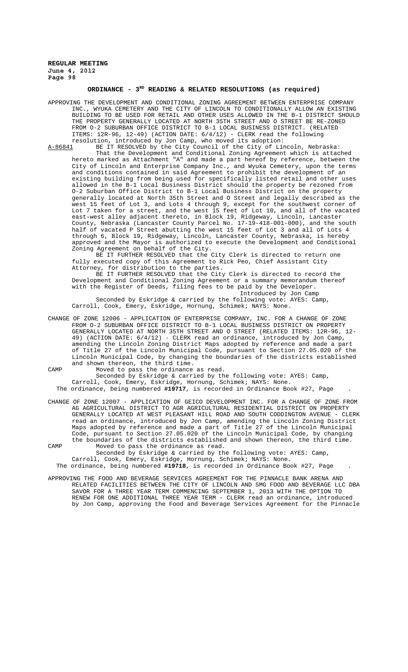## ORDINANCE - 3<sup>RD</sup> READING & RELATED RESOLUTIONS (as required)

APPROVING THE DEVELOPMENT AND CONDITIONAL ZONING AGREEMENT BETWEEN ENTERPRISE COMPANY INC., WYUKA CEMETERY AND THE CITY OF LINCOLN TO CONDITIONALLY ALLOW AN EXISTING BUILDING TO BE USED FOR RETAIL AND OTHER USES ALLOWED IN THE B-1 DISTRICT SHOULD THE PROPERTY GENERALLY LOCATED AT NORTH 35TH STREET AND O STREET BE RE-ZONED FROM O-2 SUBURBAN OFFICE DISTRICT TO B-1 LOCAL BUSINESS DISTRICT. (RELATED ITEMS: 12R-96, 12-49) (ACTION DATE: 6/4/12) - CLERK read the following resolution, introduced by Jon Camp, who moved its adoption:<br>A-86841 BE IT RESOLVED by the City Council of the City of Lin

BE IT RESOLVED by the City Council of the City of Lincoln, Nebraska: That the Development and Conditional Zoning Agreement which is attached hereto marked as Attachment "A" and made a part hereof by reference, between the City of Lincoln and Enterprise Company Inc., and Wyuka Cemetery, upon the terms and conditions contained in said Agreement to prohibit the development of an existing building from being used for specifically listed retail and other allowed in the B-1 Local Business District should the property be rezoned from O-2 Suburban Office District to B-1 Local Business District on the property generally located at North 35th Street and O Street and legally described as the west 15 feet of Lot 3, and Lots 4 through 9, except for the southwest corner of Lot 7 taken for a street, and the west 15 feet of Lot 10, and all of the vacated east-west alley adjacent thereto, in Block 19, Ridgeway, Lincoln, Lancaster<br>County, Nebraska (Lancaster County Parcel No. 17-19-418-001-000), and the south County, Nebraska (Lancaster County Parcel No. 17-19-418-001-000), and the south half of vacated P Street abutting the west 15 feet of Lot 3 and all of Lots 4 through 6, Block 19, Ridgeway, Lincoln, Lancaster County, Nebraska, is hereby approved and the Mayor is authorized to execute the Development and Conditional Zoning Agreement on behalf of the City.

BE IT FURTHER RESOLVED that the City Clerk is directed to return one fully executed copy of this Agreement to Rick Peo, Chief Assistant City Attorney, for distribution to the parties.

BE IT FURTHER RESOLVED that the City Clerk is directed to record the Development and Conditional Zoning Agreement or a summary memorandum thereof with the Register of Deeds, filing fees to be paid by the Developer.

Introduced by Jon Camp Seconded by Eskridge & carried by the following vote: AYES: Camp, Carroll, Cook, Emery, Eskridge, Hornung, Schimek; NAYS: None.

CHANGE OF ZONE 12006 - APPLICATION OF ENTERPRISE COMPANY, INC. FOR A CHANGE OF ZONE FROM O-2 SUBURBAN OFFICE DISTRICT TO B-1 LOCAL BUSINESS DISTRICT ON PROPERTY GENERALLY LOCATED AT NORTH 35TH STREET AND O STREET (RELATED ITEMS: 12R-96, 12- 49) (ACTION DATE: 6/4/12) - CLERK read an ordinance, introduced by Jon Camp, amending the Lincoln Zoning District Maps adopted by reference and made a part of Title 27 of the Lincoln Municipal Code, pursuant to Section 27.05.020 of the Lincoln Municipal Code, by changing the boundaries of the districts established and shown thereon, the third time.

CAMP Moved to pass the ordinance as read.

Seconded by Eskridge & carried by the following vote: AYES: Camp, Carroll, Cook, Emery, Eskridge, Hornung, Schimek; NAYS: None. The ordinance, being numbered **#19717**, is recorded in Ordinance Book #27, Page .

CHANGE OF ZONE 12007 - APPLICATION OF GEICO DEVELOPMENT INC. FOR A CHANGE OF ZONE FROM AG AGRICULTURAL DISTRICT TO AGR AGRICULTURAL RESIDENTIAL DISTRICT ON PROPERTY GENERALLY LOCATED AT WEST PLEASANT HILL ROAD AND SOUTH CODDINGTON AVENUE - CLERK read an ordinance, introduced by Jon Camp, amending the Lincoln Zoning District Maps adopted by reference and made a part of Title 27 of the Lincoln Municipal Code, pursuant to Section 27.05.020 of the Lincoln Municipal Code, by changing the boundaries of the districts established and shown thereon, the third time.

CAMP Moved to pass the ordinance as read. Seconded by Eskridge & carried by the following vote: AYES: Camp, Carroll, Cook, Emery, Eskridge, Hornung, Schimek; NAYS: None.

The ordinance, being numbered **#19718**, is recorded in Ordinance Book #27, Page .

APPROVING THE FOOD AND BEVERAGE SERVICES AGREEMENT FOR THE PINNACLE BANK ARENA AND RELATED FACILITIES BETWEEN THE CITY OF LINCOLN AND SMG FOOD AND BEVERAGE LLC DBA SAVOR FOR A THREE YEAR TERM COMMENCING SEPTEMBER 1, 2013 WITH THE OPTION TO RENEW FOR ONE ADDITIONAL THREE YEAR TERM - CLERK read an ordinance, introduced by Jon Camp, approving the Food and Beverage Services Agreement for the Pinnacle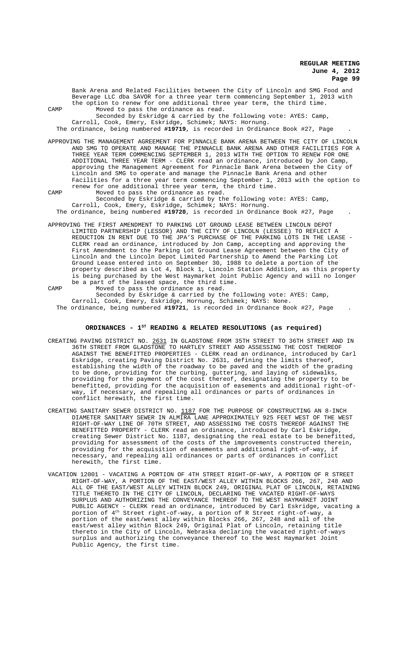Bank Arena and Related Facilities between the City of Lincoln and SMG Food and Beverage LLC dba SAVOR for a three year term commencing September 1, 2013 with the option to renew for one additional three year term, the third time. CAMP Moved to pass the ordinance as read. Seconded by Eskridge & carried by the following vote: AYES: Camp, Carroll, Cook, Emery, Eskridge, Schimek; NAYS: Hornung. The ordinance, being numbered **#19719**, is recorded in Ordinance Book #27, Page . APPROVING THE MANAGEMENT AGREEMENT FOR PINNACLE BANK ARENA BETWEEN THE CITY OF LINCOLN AND SMG TO OPERATE AND MANAGE THE PINNACLE BANK ARENA AND OTHER FACILITIES FOR A THREE YEAR TERM COMMENCING SEPTEMBER 1, 2013 WITH THE OPTION TO RENEW FOR ONE ADDITIONAL THREE YEAR TERM - CLERK read an ordinance, introduced by Jon Camp, approving the Management Agreement for Pinnacle Bank Arena between the City of Lincoln and SMG to operate and manage the Pinnacle Bank Arena and other Facilities for a three year term commencing September 1, 2013 with the option to renew for one additional three year term, the third time. CAMP Moved to pass the ordinance as read. Seconded by Eskridge & carried by the following vote: AYES: Camp, Carroll, Cook, Emery, Eskridge, Schimek; NAYS: Hornung. The ordinance, being numbered **#19720**, is recorded in Ordinance Book #27, Page . APPROVING THE FIRST AMENDMENT TO PARKING LOT GROUND LEASE BETWEEN LINCOLN DEPOT LIMITED PARTNERSHIP (LESSOR) AND THE CITY OF LINCOLN (LESSEE) TO REFLECT A REDUCTION IN RENT DUE TO THE JPA'S PURCHASE OF THE PARKING LOTS IN THE LEASE CLERK read an ordinance, introduced by Jon Camp, accepting and approving the First Amendment to the Parking Lot Ground Lease Agreement between the City of Lincoln and the Lincoln Depot Limited Partnership to Amend the Parking Lot

Ground Lease entered into on September 30, 1988 to delete a portion of the property described as Lot 4, Block 1, Lincoln Station Addition, as this property is being purchased by the West Haymarket Joint Public Agency and will no longer be a part of the leased space, the third time. CAMP Moved to pass the ordinance as read. Seconded by Eskridge & carried by the following vote: AYES: Camp, Carroll, Cook, Emery, Eskridge, Hornung, Schimek; NAYS: None.

The ordinance, being numbered **#19721**, is recorded in Ordinance Book #27, Page .

# ORDINANCES - 1<sup>st</sup> READING & RELATED RESOLUTIONS (as required)

- CREATING PAVING DISTRICT NO. 2631 IN GLADSTONE FROM 35TH STREET TO 36TH STREET AND IN 36TH STREET FROM GLADSTONE TO HARTLEY STREET AND ASSESSING THE COST THEREOF AGAINST THE BENEFITTED PROPERTIES - CLERK read an ordinance, introduced by Carl Eskridge, creating Paving District No. 2631, defining the limits thereof, establishing the width of the roadway to be paved and the width of the grading to be done, providing for the curbing, guttering, and laying of sidewalks, providing for the payment of the cost thereof, designating the property to be benefitted, providing for the acquisition of easements and additional right-ofway, if necessary, and repealing all ordinances or parts of ordinances in conflict herewith, the first time.
- CREATING SANITARY SEWER DISTRICT NO. 1187 FOR THE PURPOSE OF CONSTRUCTING AN 8-INCH DIAMETER SANITARY SEWER IN ALMIRA LANE APPROXIMATELY 925 FEET WEST OF THE WEST RIGHT-OF-WAY LINE OF 70TH STREET, AND ASSESSING THE COSTS THEREOF AGAINST THE BENEFITTED PROPERTY - CLERK read an ordinance, introduced by Carl Eskridge, creating Sewer District No. 1187, designating the real estate to be benefitted, providing for assessment of the costs of the improvements constructed therein, providing for the acquisition of easements and additional right-of-way, if necessary, and repealing all ordinances or parts of ordinances in conflict herewith, the first time.
- VACATION 12001 VACATING A PORTION OF 4TH STREET RIGHT-OF-WAY, A PORTION OF R STREET RIGHT-OF-WAY, A PORTION OF THE EAST/WEST ALLEY WITHIN BLOCKS 266, 267, 248 AND ALL OF THE EAST/WEST ALLEY WITHIN BLOCK 249, ORIGINAL PLAT OF LINCOLN, RETAINING TITLE THERETO IN THE CITY OF LINCOLN, DECLARING THE VACATED RIGHT-OF-WAYS SURPLUS AND AUTHORIZING THE CONVEYANCE THEREOF TO THE WEST HAYMARKET JOINT PUBLIC AGENCY - CLERK read an ordinance, introduced by Carl Eskridge, vacating a portion of  $4^{\text{th}}$  Street right-of-way, a portion of R Street right-of-way, a portion of the east/west alley within Blocks 266, 267, 248 and all of the east/west alley within Block 249, Original Plat of Lincoln, retaining title thereto in the City of Lincoln, Nebraska declaring the vacated right-of-ways surplus and authorizing the conveyance thereof to the West Haymarket Joint Public Agency, the first time.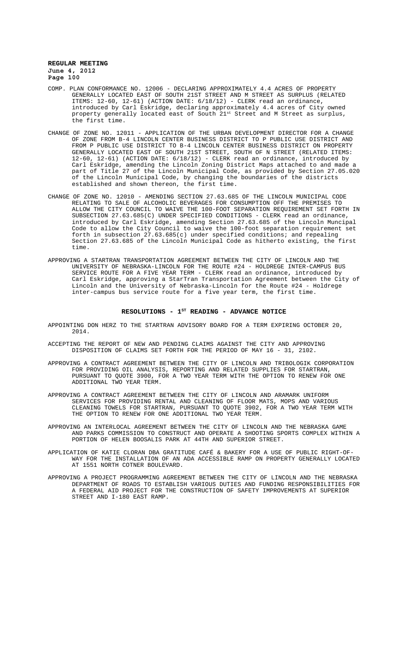- COMP. PLAN CONFORMANCE NO. 12006 DECLARING APPROXIMATELY 4.4 ACRES OF PROPERTY GENERALLY LOCATED EAST OF SOUTH 21ST STREET AND M STREET AS SURPLUS (RELATED ITEMS: 12-60, 12-61) (ACTION DATE: 6/18/12) - CLERK read an ordinance, introduced by Carl Eskridge, declaring approximately 4.4 acres of City owned property generally located east of South 21st Street and M Street as surplus, the first time.
- CHANGE OF ZONE NO. 12011 APPLICATION OF THE URBAN DEVELOPMENT DIRECTOR FOR A CHANGE OF ZONE FROM B-4 LINCOLN CENTER BUSINESS DISTRICT TO P PUBLIC USE DISTRICT AND FROM P PUBLIC USE DISTRICT TO B-4 LINCOLN CENTER BUSINESS DISTRICT ON PROPERTY GENERALLY LOCATED EAST OF SOUTH 21ST STREET, SOUTH OF N STREET (RELATED ITEMS: 12-60, 12-61) (ACTION DATE: 6/18/12) - CLERK read an ordinance, introduced by Carl Eskridge, amending the Lincoln Zoning District Maps attached to and made a part of Title 27 of the Lincoln Municipal Code, as provided by Section 27.05.020 of the Lincoln Municipal Code, by changing the boundaries of the districts established and shown thereon, the first time.
- CHANGE OF ZONE NO. 12010 AMENDING SECTION 27.63.685 OF THE LINCOLN MUNICIPAL CODE RELATING TO SALE OF ALCOHOLIC BEVERAGES FOR CONSUMPTION OFF THE PREMISES TO ALLOW THE CITY COUNCIL TO WAIVE THE 100-FOOT SEPARATION REQUIREMENT SET FORTH IN SUBSECTION 27.63.685(C) UNDER SPECIFIED CONDITIONS - CLERK read an ordinance, introduced by Carl Eskridge, amending Section 27.63.685 of the Lincoln Muncipal Code to allow the City Council to waive the 100-foot separation requirement set forth in subsection  $27.63.685(c)$  under specified conditions; and repealing Section 27.63.685 of the Lincoln Municipal Code as hitherto existing, the first time.
- APPROVING A STARTRAN TRANSPORTATION AGREEMENT BETWEEN THE CITY OF LINCOLN AND THE UNIVERSITY OF NEBRASKA-LINCOLN FOR THE ROUTE #24 - HOLDREGE INTER-CAMPUS BUS SERVICE ROUTE FOR A FIVE YEAR TERM - CLERK read an ordinance, introduced by Carl Eskridge, approving a StarTran Transportation Agreement between the City of Lincoln and the University of Nebraska-Lincoln for the Route #24 - Holdrege inter-campus bus service route for a five year term, the first time.

### RESOLUTIONS - 1<sup>st</sup> READING - ADVANCE NOTICE

APPOINTING DON HERZ TO THE STARTRAN ADVISORY BOARD FOR A TERM EXPIRING OCTOBER 20, 2014.

- ACCEPTING THE REPORT OF NEW AND PENDING CLAIMS AGAINST THE CITY AND APPROVING DISPOSITION OF CLAIMS SET FORTH FOR THE PERIOD OF MAY 16 - 31, 2102.
- APPROVING A CONTRACT AGREEMENT BETWEEN THE CITY OF LINCOLN AND TRIBOLOGIK CORPORATION FOR PROVIDING OIL ANALYSIS, REPORTING AND RELATED SUPPLIES FOR STARTRAN, PURSUANT TO QUOTE 3900, FOR A TWO YEAR TERM WITH THE OPTION TO RENEW FOR ONE ADDITIONAL TWO YEAR TERM.
- APPROVING A CONTRACT AGREEMENT BETWEEN THE CITY OF LINCOLN AND ARAMARK UNIFORM SERVICES FOR PROVIDING RENTAL AND CLEANING OF FLOOR MATS, MOPS AND VARIOUS CLEANING TOWELS FOR STARTRAN, PURSUANT TO QUOTE 3902, FOR A TWO YEAR TERM WITH THE OPTION TO RENEW FOR ONE ADDITIONAL TWO YEAR TERM.

APPROVING AN INTERLOCAL AGREEMENT BETWEEN THE CITY OF LINCOLN AND THE NEBRASKA GAME AND PARKS COMMISSION TO CONSTRUCT AND OPERATE A SHOOTING SPORTS COMPLEX WITHIN A PORTION OF HELEN BOOSALIS PARK AT 44TH AND SUPERIOR STREET.

- APPLICATION OF KATIE CLORAN DBA GRATITUDE CAFÉ & BAKERY FOR A USE OF PUBLIC RIGHT-OF-WAY FOR THE INSTALLATION OF AN ADA ACCESSIBLE RAMP ON PROPERTY GENERALLY LOCATED AT 1551 NORTH COTNER BOULEVARD.
- APPROVING A PROJECT PROGRAMMING AGREEMENT BETWEEN THE CITY OF LINCOLN AND THE NEBRASKA DEPARTMENT OF ROADS TO ESTABLISH VARIOUS DUTIES AND FUNDING RESPONSIBILITIES FOR A FEDERAL AID PROJECT FOR THE CONSTRUCTION OF SAFETY IMPROVEMENTS AT SUPERIOR STREET AND I-180 EAST RAMP.